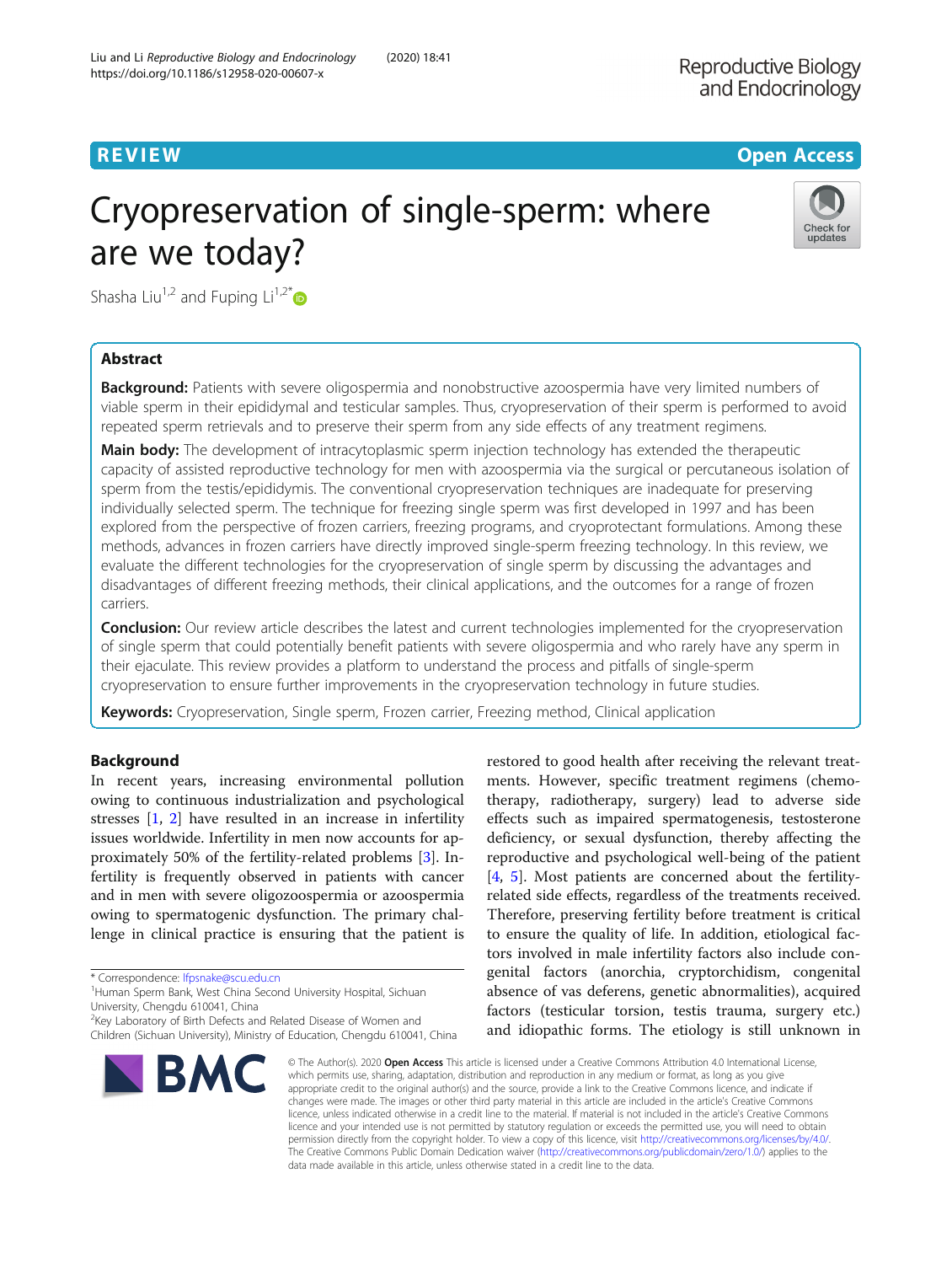# **REVIEW CONTROL** CONTROL CONTROL CONTROL CONTROL CONTROL CONTROL CONTROL CONTROL CONTROL CONTROL CONTROL CONTROL

# Cryopreservation of single-sperm: where are we today?



Shasha Liu<sup>1,2</sup> and Fuping Li<sup>1,2[\\*](http://orcid.org/0000-0001-5183-4214)</sup>

# Abstract

Background: Patients with severe oligospermia and nonobstructive azoospermia have very limited numbers of viable sperm in their epididymal and testicular samples. Thus, cryopreservation of their sperm is performed to avoid repeated sperm retrievals and to preserve their sperm from any side effects of any treatment regimens.

Main body: The development of intracytoplasmic sperm injection technology has extended the therapeutic capacity of assisted reproductive technology for men with azoospermia via the surgical or percutaneous isolation of sperm from the testis/epididymis. The conventional cryopreservation techniques are inadequate for preserving individually selected sperm. The technique for freezing single sperm was first developed in 1997 and has been explored from the perspective of frozen carriers, freezing programs, and cryoprotectant formulations. Among these methods, advances in frozen carriers have directly improved single-sperm freezing technology. In this review, we evaluate the different technologies for the cryopreservation of single sperm by discussing the advantages and disadvantages of different freezing methods, their clinical applications, and the outcomes for a range of frozen carriers.

**Conclusion:** Our review article describes the latest and current technologies implemented for the cryopreservation of single sperm that could potentially benefit patients with severe oligospermia and who rarely have any sperm in their ejaculate. This review provides a platform to understand the process and pitfalls of single-sperm cryopreservation to ensure further improvements in the cryopreservation technology in future studies.

Keywords: Cryopreservation, Single sperm, Frozen carrier, Freezing method, Clinical application

# Background

In recent years, increasing environmental pollution owing to continuous industrialization and psychological stresses [[1,](#page-10-0) [2\]](#page-10-0) have resulted in an increase in infertility issues worldwide. Infertility in men now accounts for approximately 50% of the fertility-related problems [[3\]](#page-10-0). Infertility is frequently observed in patients with cancer and in men with severe oligozoospermia or azoospermia owing to spermatogenic dysfunction. The primary challenge in clinical practice is ensuring that the patient is

<sup>1</sup> Human Sperm Bank, West China Second University Hospital, Sichuan University, Chengdu 610041, China

<sup>2</sup>Key Laboratory of Birth Defects and Related Disease of Women and Children (Sichuan University), Ministry of Education, Chengdu 610041, China



restored to good health after receiving the relevant treatments. However, specific treatment regimens (chemotherapy, radiotherapy, surgery) lead to adverse side effects such as impaired spermatogenesis, testosterone deficiency, or sexual dysfunction, thereby affecting the reproductive and psychological well-being of the patient [[4,](#page-10-0) [5](#page-10-0)]. Most patients are concerned about the fertilityrelated side effects, regardless of the treatments received. Therefore, preserving fertility before treatment is critical to ensure the quality of life. In addition, etiological factors involved in male infertility factors also include congenital factors (anorchia, cryptorchidism, congenital absence of vas deferens, genetic abnormalities), acquired factors (testicular torsion, testis trauma, surgery etc.) and idiopathic forms. The etiology is still unknown in

© The Author(s), 2020 **Open Access** This article is licensed under a Creative Commons Attribution 4.0 International License, which permits use, sharing, adaptation, distribution and reproduction in any medium or format, as long as you give appropriate credit to the original author(s) and the source, provide a link to the Creative Commons licence, and indicate if changes were made. The images or other third party material in this article are included in the article's Creative Commons licence, unless indicated otherwise in a credit line to the material. If material is not included in the article's Creative Commons licence and your intended use is not permitted by statutory regulation or exceeds the permitted use, you will need to obtain permission directly from the copyright holder. To view a copy of this licence, visit [http://creativecommons.org/licenses/by/4.0/.](http://creativecommons.org/licenses/by/4.0/) The Creative Commons Public Domain Dedication waiver [\(http://creativecommons.org/publicdomain/zero/1.0/](http://creativecommons.org/publicdomain/zero/1.0/)) applies to the data made available in this article, unless otherwise stated in a credit line to the data.

<sup>\*</sup> Correspondence: [lfpsnake@scu.edu.cn](mailto:lfpsnake@scu.edu.cn) <sup>1</sup>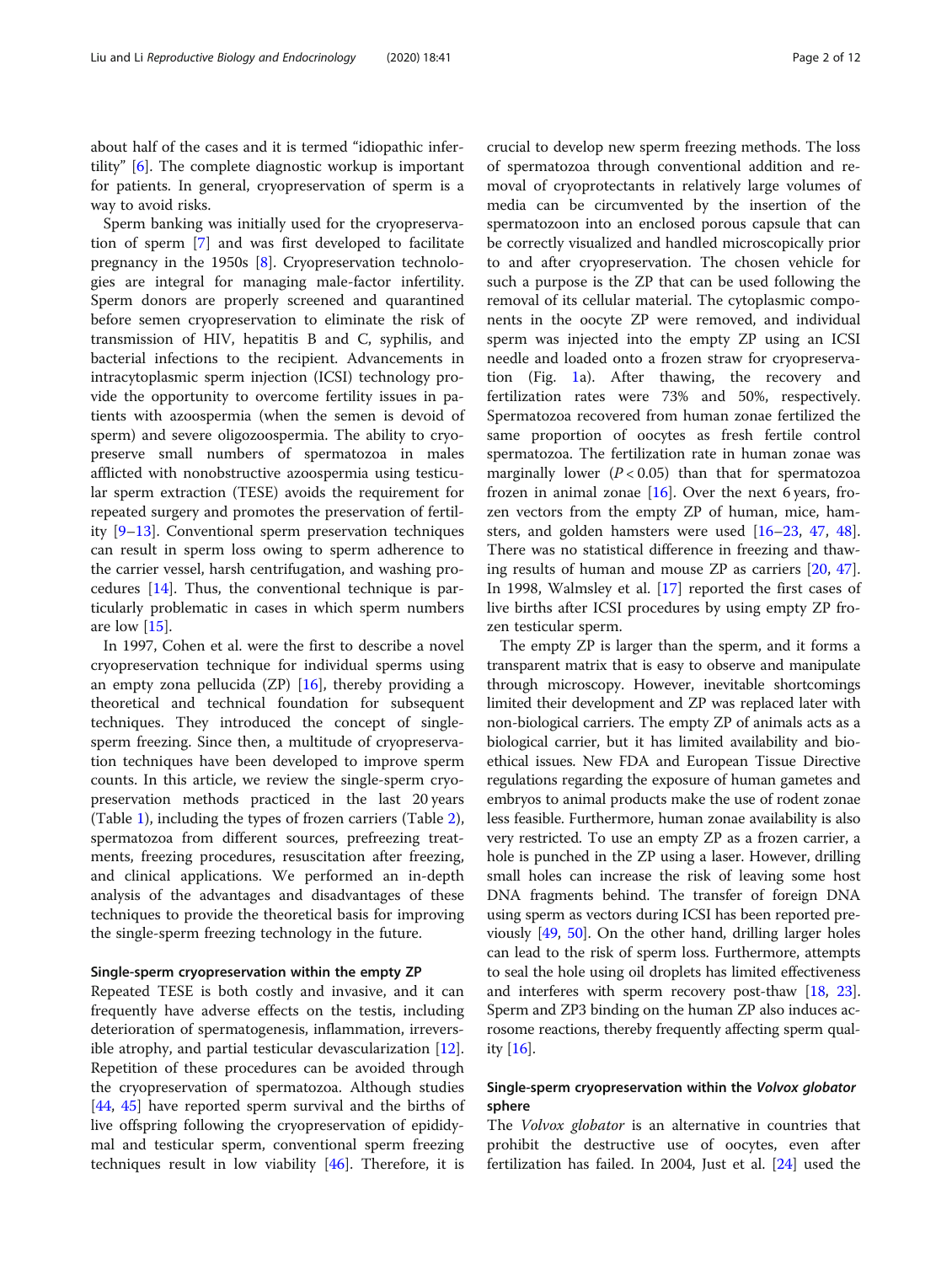Sperm banking was initially used for the cryopreservation of sperm [[7\]](#page-10-0) and was first developed to facilitate pregnancy in the 1950s [[8\]](#page-10-0). Cryopreservation technologies are integral for managing male-factor infertility. Sperm donors are properly screened and quarantined before semen cryopreservation to eliminate the risk of transmission of HIV, hepatitis B and C, syphilis, and bacterial infections to the recipient. Advancements in intracytoplasmic sperm injection (ICSI) technology provide the opportunity to overcome fertility issues in patients with azoospermia (when the semen is devoid of sperm) and severe oligozoospermia. The ability to cryopreserve small numbers of spermatozoa in males afflicted with nonobstructive azoospermia using testicular sperm extraction (TESE) avoids the requirement for repeated surgery and promotes the preservation of fertility [\[9](#page-10-0)–[13\]](#page-10-0). Conventional sperm preservation techniques can result in sperm loss owing to sperm adherence to the carrier vessel, harsh centrifugation, and washing procedures [[14\]](#page-10-0). Thus, the conventional technique is particularly problematic in cases in which sperm numbers are low [[15\]](#page-10-0).

In 1997, Cohen et al. were the first to describe a novel cryopreservation technique for individual sperms using an empty zona pellucida  $(ZP)$  [\[16](#page-10-0)], thereby providing a theoretical and technical foundation for subsequent techniques. They introduced the concept of singlesperm freezing. Since then, a multitude of cryopreservation techniques have been developed to improve sperm counts. In this article, we review the single-sperm cryopreservation methods practiced in the last 20 years (Table [1\)](#page-2-0), including the types of frozen carriers (Table [2](#page-3-0)), spermatozoa from different sources, prefreezing treatments, freezing procedures, resuscitation after freezing, and clinical applications. We performed an in-depth analysis of the advantages and disadvantages of these techniques to provide the theoretical basis for improving the single-sperm freezing technology in the future.

#### Single-sperm cryopreservation within the empty ZP

Repeated TESE is both costly and invasive, and it can frequently have adverse effects on the testis, including deterioration of spermatogenesis, inflammation, irreversible atrophy, and partial testicular devascularization [\[12](#page-10-0)]. Repetition of these procedures can be avoided through the cryopreservation of spermatozoa. Although studies [[44,](#page-11-0) [45\]](#page-11-0) have reported sperm survival and the births of live offspring following the cryopreservation of epididymal and testicular sperm, conventional sperm freezing techniques result in low viability  $[46]$  $[46]$ . Therefore, it is crucial to develop new sperm freezing methods. The loss of spermatozoa through conventional addition and removal of cryoprotectants in relatively large volumes of media can be circumvented by the insertion of the spermatozoon into an enclosed porous capsule that can be correctly visualized and handled microscopically prior to and after cryopreservation. The chosen vehicle for such a purpose is the ZP that can be used following the removal of its cellular material. The cytoplasmic components in the oocyte ZP were removed, and individual sperm was injected into the empty ZP using an ICSI needle and loaded onto a frozen straw for cryopreservation (Fig. [1a](#page-3-0)). After thawing, the recovery and fertilization rates were 73% and 50%, respectively. Spermatozoa recovered from human zonae fertilized the same proportion of oocytes as fresh fertile control spermatozoa. The fertilization rate in human zonae was marginally lower  $(P < 0.05)$  than that for spermatozoa frozen in animal zonae [\[16](#page-10-0)]. Over the next 6 years, frozen vectors from the empty ZP of human, mice, hamsters, and golden hamsters were used [\[16](#page-10-0)–[23,](#page-10-0) [47,](#page-11-0) [48](#page-11-0)]. There was no statistical difference in freezing and thawing results of human and mouse ZP as carriers [[20,](#page-10-0) [47](#page-11-0)]. In 1998, Walmsley et al. [\[17\]](#page-10-0) reported the first cases of live births after ICSI procedures by using empty ZP frozen testicular sperm.

The empty ZP is larger than the sperm, and it forms a transparent matrix that is easy to observe and manipulate through microscopy. However, inevitable shortcomings limited their development and ZP was replaced later with non-biological carriers. The empty ZP of animals acts as a biological carrier, but it has limited availability and bioethical issues. New FDA and European Tissue Directive regulations regarding the exposure of human gametes and embryos to animal products make the use of rodent zonae less feasible. Furthermore, human zonae availability is also very restricted. To use an empty ZP as a frozen carrier, a hole is punched in the ZP using a laser. However, drilling small holes can increase the risk of leaving some host DNA fragments behind. The transfer of foreign DNA using sperm as vectors during ICSI has been reported previously [\[49,](#page-11-0) [50\]](#page-11-0). On the other hand, drilling larger holes can lead to the risk of sperm loss. Furthermore, attempts to seal the hole using oil droplets has limited effectiveness and interferes with sperm recovery post-thaw [[18,](#page-10-0) [23](#page-10-0)]. Sperm and ZP3 binding on the human ZP also induces acrosome reactions, thereby frequently affecting sperm quality  $[16]$ .

# Single-sperm cryopreservation within the Volvox globator sphere

The *Volvox globator* is an alternative in countries that prohibit the destructive use of oocytes, even after fertilization has failed. In 2004, Just et al. [\[24\]](#page-10-0) used the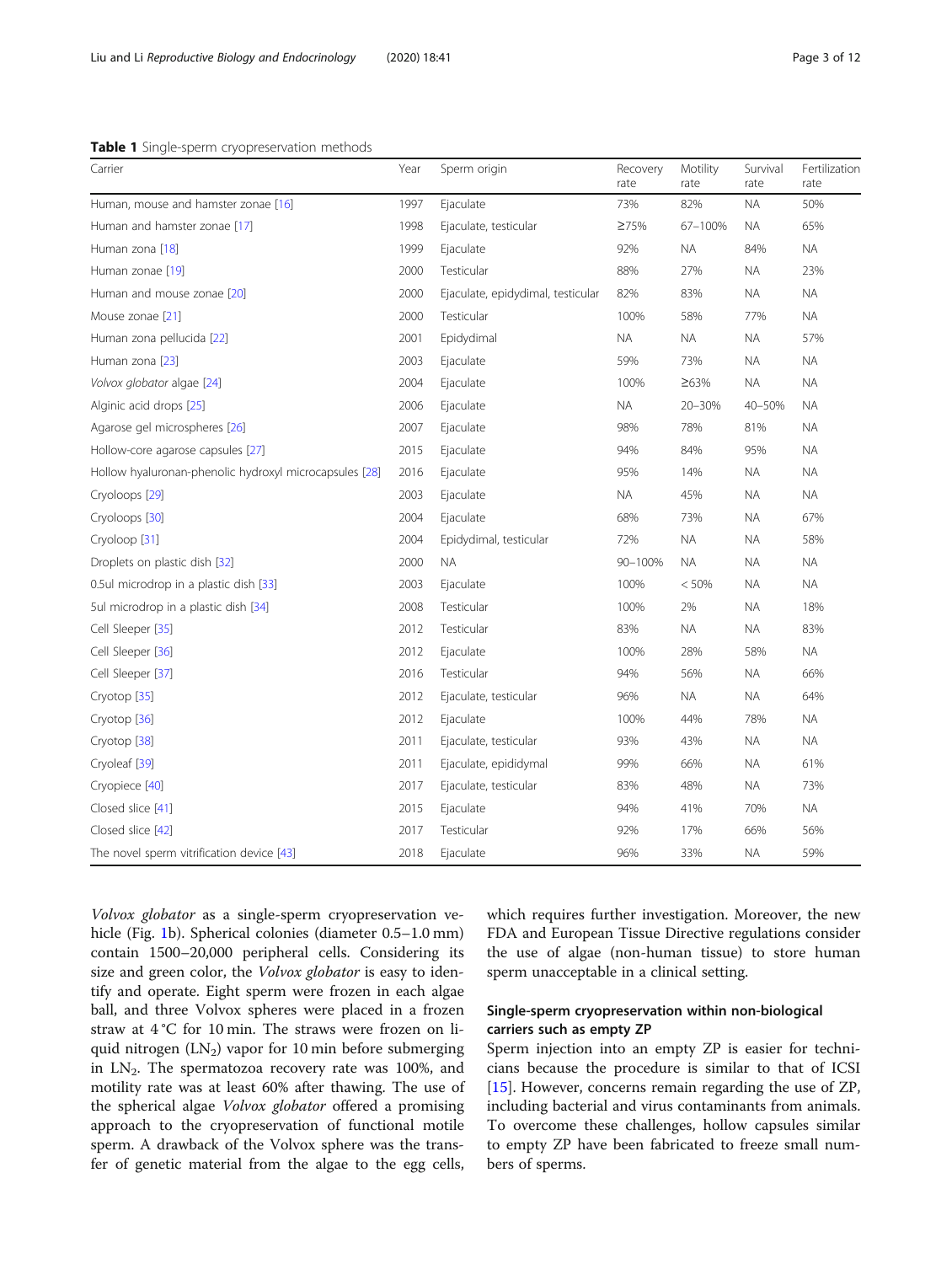<span id="page-2-0"></span>

|  |  | Table 1 Single-sperm cryopreservation methods |  |
|--|--|-----------------------------------------------|--|
|--|--|-----------------------------------------------|--|

| Carrier                                                | Year | Sperm origin                      | Recovery<br>rate | Motility<br>rate | Survival<br>rate | Fertilization<br>rate |
|--------------------------------------------------------|------|-----------------------------------|------------------|------------------|------------------|-----------------------|
| Human, mouse and hamster zonae [16]                    | 1997 | Ejaculate                         | 73%              | 82%              | <b>NA</b>        | 50%                   |
| Human and hamster zonae [17]                           | 1998 | Ejaculate, testicular             | ≥75%             | 67-100%          | <b>NA</b>        | 65%                   |
| Human zona [18]                                        | 1999 | Ejaculate                         | 92%              | <b>NA</b>        | 84%              | <b>NA</b>             |
| Human zonae [19]                                       | 2000 | Testicular                        | 88%              | 27%              | <b>NA</b>        | 23%                   |
| Human and mouse zonae [20]                             | 2000 | Ejaculate, epidydimal, testicular | 82%              | 83%              | <b>NA</b>        | NA                    |
| Mouse zonae [21]                                       | 2000 | Testicular                        | 100%             | 58%              | 77%              | <b>NA</b>             |
| Human zona pellucida [22]                              | 2001 | Epidydimal                        | ΝA               | ΝA               | <b>NA</b>        | 57%                   |
| Human zona [23]                                        | 2003 | Ejaculate                         | 59%              | 73%              | <b>NA</b>        | <b>NA</b>             |
| Volvox globator algae [24]                             | 2004 | Ejaculate                         | 100%             | ≥63%             | <b>NA</b>        | <b>ΝΑ</b>             |
| Alginic acid drops [25]                                | 2006 | Ejaculate                         | ΝA               | 20-30%           | 40-50%           | <b>NA</b>             |
| Agarose gel microspheres [26]                          | 2007 | Ejaculate                         | 98%              | 78%              | 81%              | ΝA                    |
| Hollow-core agarose capsules [27]                      | 2015 | Ejaculate                         | 94%              | 84%              | 95%              | ΝA                    |
| Hollow hyaluronan-phenolic hydroxyl microcapsules [28] | 2016 | Ejaculate                         | 95%              | 14%              | <b>NA</b>        | <b>NA</b>             |
| Cryoloops [29]                                         | 2003 | Ejaculate                         | ΝA               | 45%              | <b>NA</b>        | NA                    |
| Cryoloops [30]                                         | 2004 | Ejaculate                         | 68%              | 73%              | <b>NA</b>        | 67%                   |
| Cryoloop [31]                                          | 2004 | Epidydimal, testicular            | 72%              | <b>NA</b>        | <b>NA</b>        | 58%                   |
| Droplets on plastic dish [32]                          | 2000 | NA.                               | 90-100%          | <b>NA</b>        | <b>NA</b>        | NA                    |
| 0.5ul microdrop in a plastic dish [33]                 | 2003 | Ejaculate                         | 100%             | < 50%            | <b>NA</b>        | <b>NA</b>             |
| 5ul microdrop in a plastic dish [34]                   | 2008 | Testicular                        | 100%             | 2%               | <b>NA</b>        | 18%                   |
| Cell Sleeper [35]                                      | 2012 | Testicular                        | 83%              | <b>NA</b>        | ΝA               | 83%                   |
| Cell Sleeper [36]                                      | 2012 | Ejaculate                         | 100%             | 28%              | 58%              | NA.                   |
| Cell Sleeper [37]                                      | 2016 | Testicular                        | 94%              | 56%              | <b>NA</b>        | 66%                   |
| Cryotop <sup>[35]</sup>                                | 2012 | Ejaculate, testicular             | 96%              | NA.              | ΝA               | 64%                   |
| Cryotop <sup>[36]</sup>                                | 2012 | Ejaculate                         | 100%             | 44%              | 78%              | <b>NA</b>             |
| Cryotop <sup>[38]</sup>                                | 2011 | Ejaculate, testicular             | 93%              | 43%              | <b>NA</b>        | <b>NA</b>             |
| Cryoleaf [39]                                          | 2011 | Ejaculate, epididymal             | 99%              | 66%              | <b>NA</b>        | 61%                   |
| Cryopiece [40]                                         | 2017 | Ejaculate, testicular             | 83%              | 48%              | <b>NA</b>        | 73%                   |
| Closed slice [41]                                      | 2015 | Ejaculate                         | 94%              | 41%              | 70%              | <b>NA</b>             |
| Closed slice [42]                                      | 2017 | Testicular                        | 92%              | 17%              | 66%              | 56%                   |
| The novel sperm vitrification device [43]              | 2018 | Ejaculate                         | 96%              | 33%              | <b>NA</b>        | 59%                   |

Volvox globator as a single-sperm cryopreservation ve-hicle (Fig. [1](#page-3-0)b). Spherical colonies (diameter 0.5–1.0 mm) contain 1500–20,000 peripheral cells. Considering its size and green color, the *Volvox globator* is easy to identify and operate. Eight sperm were frozen in each algae ball, and three Volvox spheres were placed in a frozen straw at 4 °C for 10 min. The straws were frozen on liquid nitrogen  $(LN_2)$  vapor for 10 min before submerging in  $LN_2$ . The spermatozoa recovery rate was 100%, and motility rate was at least 60% after thawing. The use of the spherical algae Volvox globator offered a promising approach to the cryopreservation of functional motile sperm. A drawback of the Volvox sphere was the transfer of genetic material from the algae to the egg cells, which requires further investigation. Moreover, the new FDA and European Tissue Directive regulations consider the use of algae (non-human tissue) to store human sperm unacceptable in a clinical setting.

# Single-sperm cryopreservation within non-biological carriers such as empty ZP

Sperm injection into an empty ZP is easier for technicians because the procedure is similar to that of ICSI [[15\]](#page-10-0). However, concerns remain regarding the use of ZP, including bacterial and virus contaminants from animals. To overcome these challenges, hollow capsules similar to empty ZP have been fabricated to freeze small numbers of sperms.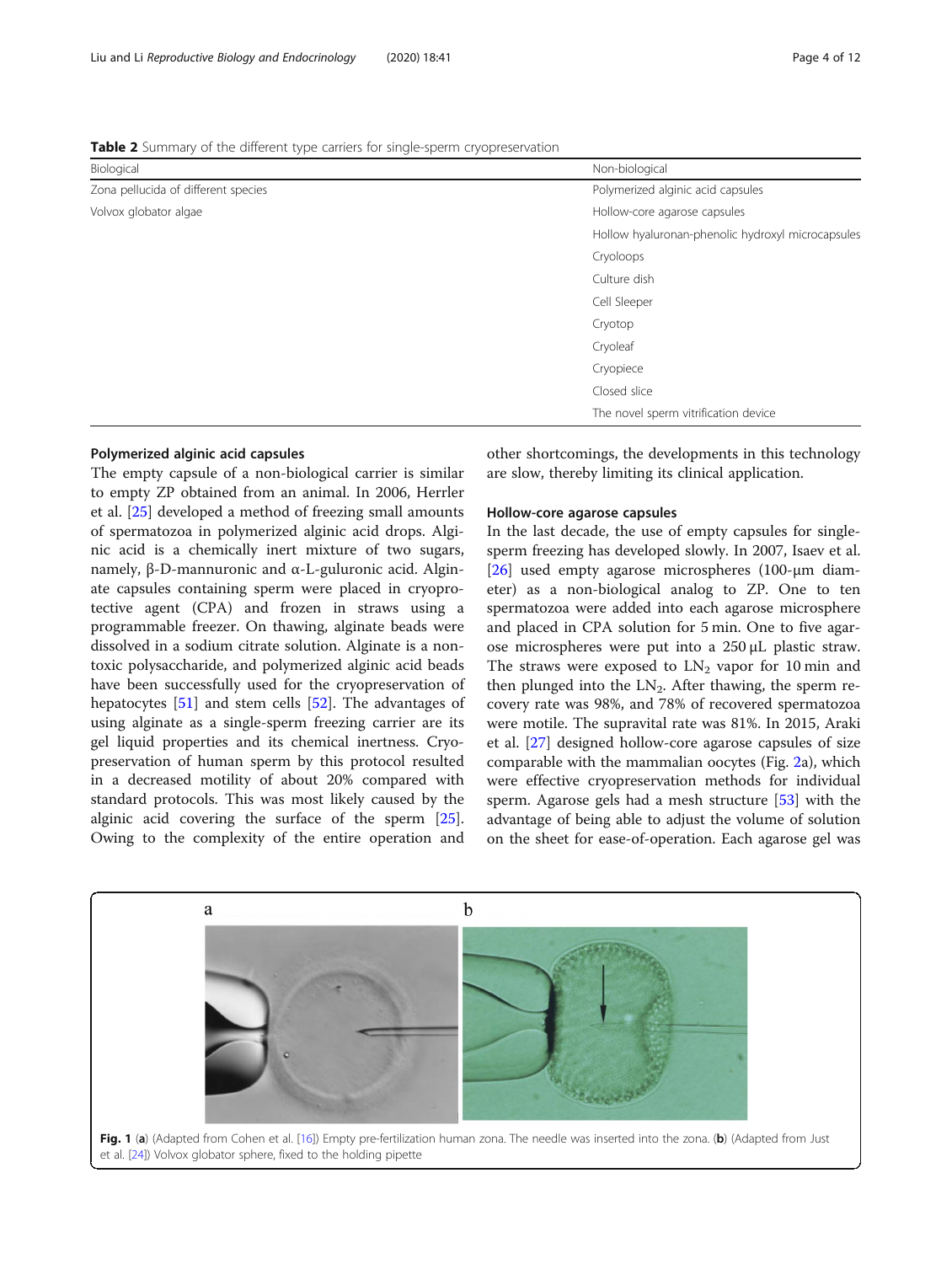The empty capsule of a non-biological carrier is similar to empty ZP obtained from an animal. In 2006, Herrler et al. [[25](#page-10-0)] developed a method of freezing small amounts of spermatozoa in polymerized alginic acid drops. Alginic acid is a chemically inert mixture of two sugars, namely, β-D-mannuronic and α-L-guluronic acid. Alginate capsules containing sperm were placed in cryoprotective agent (CPA) and frozen in straws using a programmable freezer. On thawing, alginate beads were dissolved in a sodium citrate solution. Alginate is a nontoxic polysaccharide, and polymerized alginic acid beads have been successfully used for the cryopreservation of hepatocytes  $[51]$  $[51]$  and stem cells  $[52]$  $[52]$ . The advantages of using alginate as a single-sperm freezing carrier are its gel liquid properties and its chemical inertness. Cryopreservation of human sperm by this protocol resulted in a decreased motility of about 20% compared with standard protocols. This was most likely caused by the alginic acid covering the surface of the sperm [\[25](#page-10-0)].

other shortcomings, the developments in this technology are slow, thereby limiting its clinical application.

#### Hollow-core agarose capsules

In the last decade, the use of empty capsules for singlesperm freezing has developed slowly. In 2007, Isaev et al. [[26\]](#page-10-0) used empty agarose microspheres (100-μm diameter) as a non-biological analog to ZP. One to ten spermatozoa were added into each agarose microsphere and placed in CPA solution for 5 min. One to five agarose microspheres were put into a 250 μL plastic straw. The straws were exposed to  $LN_2$  vapor for 10 min and then plunged into the  $LN_2$ . After thawing, the sperm recovery rate was 98%, and 78% of recovered spermatozoa were motile. The supravital rate was 81%. In 2015, Araki et al. [[27\]](#page-10-0) designed hollow-core agarose capsules of size comparable with the mammalian oocytes (Fig. [2a](#page-4-0)), which were effective cryopreservation methods for individual sperm. Agarose gels had a mesh structure  $[53]$  $[53]$  with the advantage of being able to adjust the volume of solution on the sheet for ease-of-operation. Each agarose gel was

<span id="page-3-0"></span>

| $\sim$ $\sim$                       | $\sim$ $\sim$                                     |
|-------------------------------------|---------------------------------------------------|
| Biological                          | Non-biological                                    |
| Zona pellucida of different species | Polymerized alginic acid capsules                 |
| Volvox globator algae               | Hollow-core agarose capsules                      |
|                                     | Hollow hyaluronan-phenolic hydroxyl microcapsules |
|                                     | Cryoloops                                         |
|                                     | Culture dish                                      |
|                                     | Cell Sleeper                                      |
|                                     | Cryotop                                           |
|                                     | Cryoleaf                                          |
|                                     | Cryopiece                                         |
|                                     | Closed slice                                      |
|                                     | The novel sperm vitrification device              |

### Polymerized alginic acid capsules

a

Owing to the complexity of the entire operation and



 $\mathbf b$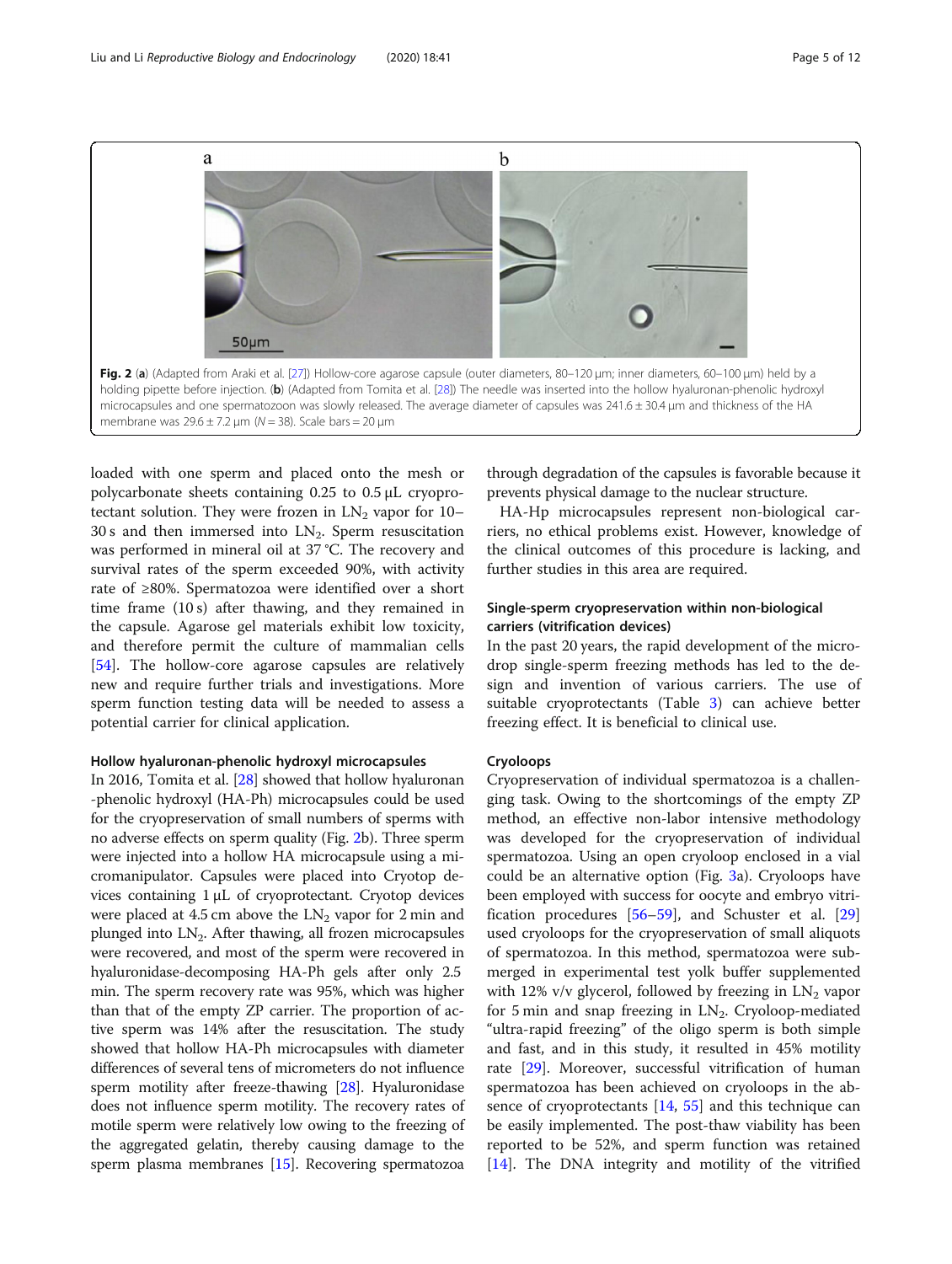<span id="page-4-0"></span>

loaded with one sperm and placed onto the mesh or polycarbonate sheets containing 0.25 to 0.5 μL cryoprotectant solution. They were frozen in  $LN_2$  vapor for 10–  $30 s$  and then immersed into  $LN<sub>2</sub>$ . Sperm resuscitation was performed in mineral oil at 37 °C. The recovery and survival rates of the sperm exceeded 90%, with activity rate of ≥80%. Spermatozoa were identified over a short time frame (10 s) after thawing, and they remained in the capsule. Agarose gel materials exhibit low toxicity, and therefore permit the culture of mammalian cells [[54\]](#page-11-0). The hollow-core agarose capsules are relatively new and require further trials and investigations. More sperm function testing data will be needed to assess a potential carrier for clinical application.

#### Hollow hyaluronan-phenolic hydroxyl microcapsules

In 2016, Tomita et al. [[28\]](#page-10-0) showed that hollow hyaluronan -phenolic hydroxyl (HA-Ph) microcapsules could be used for the cryopreservation of small numbers of sperms with no adverse effects on sperm quality (Fig. 2b). Three sperm were injected into a hollow HA microcapsule using a micromanipulator. Capsules were placed into Cryotop devices containing 1 μL of cryoprotectant. Cryotop devices were placed at 4.5 cm above the  $LN_2$  vapor for 2 min and plunged into  $LN<sub>2</sub>$ . After thawing, all frozen microcapsules were recovered, and most of the sperm were recovered in hyaluronidase-decomposing HA-Ph gels after only 2.5 min. The sperm recovery rate was 95%, which was higher than that of the empty ZP carrier. The proportion of active sperm was 14% after the resuscitation. The study showed that hollow HA-Ph microcapsules with diameter differences of several tens of micrometers do not influence sperm motility after freeze-thawing [[28\]](#page-10-0). Hyaluronidase does not influence sperm motility. The recovery rates of motile sperm were relatively low owing to the freezing of the aggregated gelatin, thereby causing damage to the sperm plasma membranes [\[15\]](#page-10-0). Recovering spermatozoa through degradation of the capsules is favorable because it prevents physical damage to the nuclear structure.

HA-Hp microcapsules represent non-biological carriers, no ethical problems exist. However, knowledge of the clinical outcomes of this procedure is lacking, and further studies in this area are required.

# Single-sperm cryopreservation within non-biological carriers (vitrification devices)

In the past 20 years, the rapid development of the microdrop single-sperm freezing methods has led to the design and invention of various carriers. The use of suitable cryoprotectants (Table [3\)](#page-5-0) can achieve better freezing effect. It is beneficial to clinical use.

#### Cryoloops

Cryopreservation of individual spermatozoa is a challenging task. Owing to the shortcomings of the empty ZP method, an effective non-labor intensive methodology was developed for the cryopreservation of individual spermatozoa. Using an open cryoloop enclosed in a vial could be an alternative option (Fig. [3](#page-6-0)a). Cryoloops have been employed with success for oocyte and embryo vitrification procedures [\[56](#page-11-0)–[59\]](#page-11-0), and Schuster et al. [[29](#page-10-0)] used cryoloops for the cryopreservation of small aliquots of spermatozoa. In this method, spermatozoa were submerged in experimental test yolk buffer supplemented with 12% v/v glycerol, followed by freezing in  $LN_2$  vapor for 5 min and snap freezing in  $LN_2$ . Cryoloop-mediated "ultra-rapid freezing" of the oligo sperm is both simple and fast, and in this study, it resulted in 45% motility rate [\[29\]](#page-10-0). Moreover, successful vitrification of human spermatozoa has been achieved on cryoloops in the absence of cryoprotectants  $[14, 55]$  $[14, 55]$  $[14, 55]$  $[14, 55]$  and this technique can be easily implemented. The post-thaw viability has been reported to be 52%, and sperm function was retained [[14\]](#page-10-0). The DNA integrity and motility of the vitrified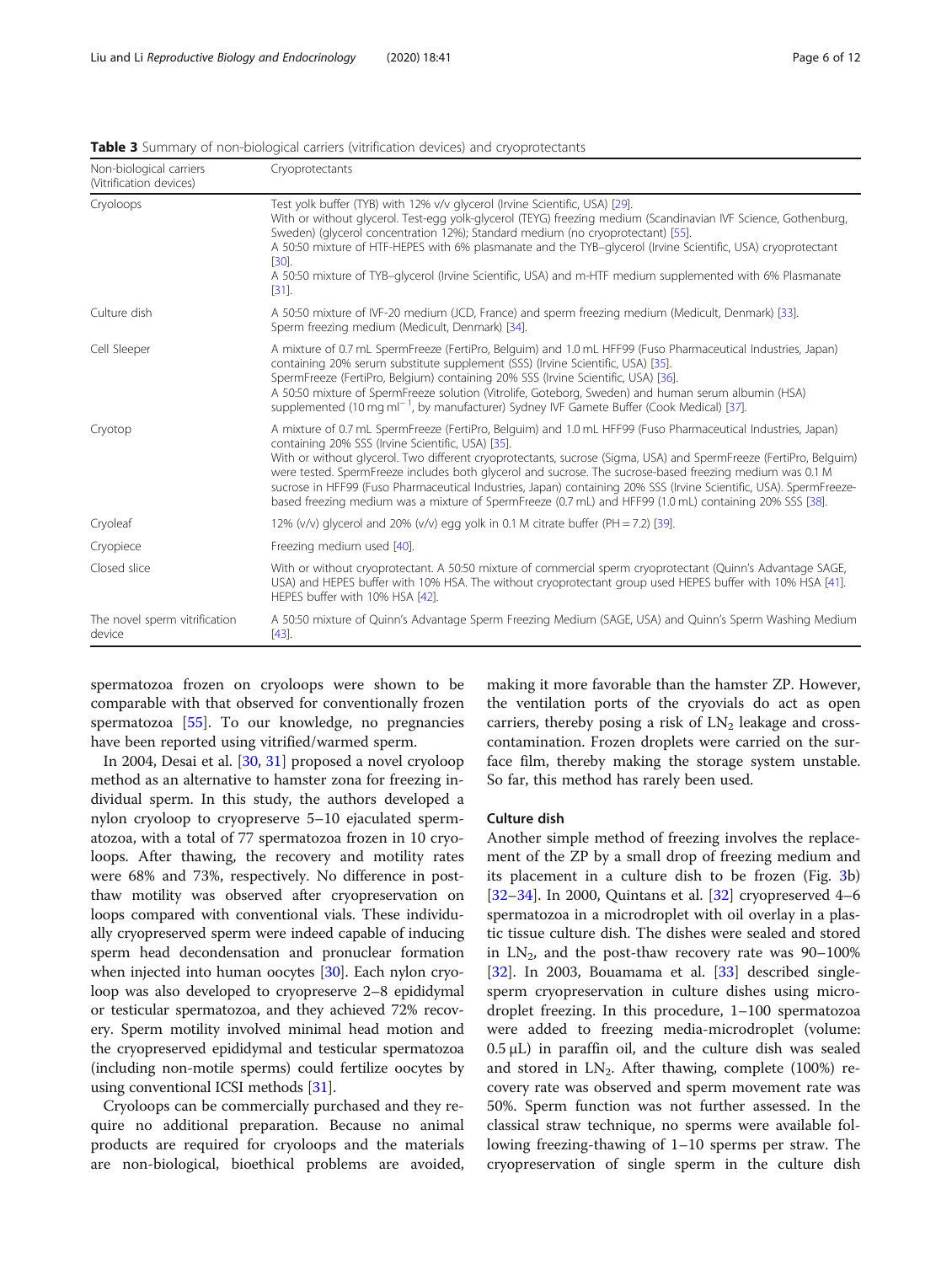| Non-biological carriers<br>(Vitrification devices) | Cryoprotectants                                                                                                                                                                                                                                                                                                                                                                                                                                                                                                                                                                                                                     |  |  |
|----------------------------------------------------|-------------------------------------------------------------------------------------------------------------------------------------------------------------------------------------------------------------------------------------------------------------------------------------------------------------------------------------------------------------------------------------------------------------------------------------------------------------------------------------------------------------------------------------------------------------------------------------------------------------------------------------|--|--|
| Cryoloops                                          | Test yolk buffer (TYB) with 12% v/v glycerol (Irvine Scientific, USA) [29].<br>With or without glycerol. Test-egg yolk-glycerol (TEYG) freezing medium (Scandinavian IVF Science, Gothenburg,<br>Sweden) (glycerol concentration 12%); Standard medium (no cryoprotectant) [55].<br>A 50:50 mixture of HTF-HEPES with 6% plasmanate and the TYB-glycerol (Irvine Scientific, USA) cryoprotectant<br>[30]<br>A 50:50 mixture of TYB-glycerol (Irvine Scientific, USA) and m-HTF medium supplemented with 6% Plasmanate<br>$[31]$ .                                                                                                   |  |  |
| Culture dish                                       | A 50:50 mixture of IVF-20 medium (JCD, France) and sperm freezing medium (Medicult, Denmark) [33].<br>Sperm freezing medium (Medicult, Denmark) [34].                                                                                                                                                                                                                                                                                                                                                                                                                                                                               |  |  |
| Cell Sleeper                                       | A mixture of 0.7 mL SpermFreeze (FertiPro, Belguim) and 1.0 mL HFF99 (Fuso Pharmaceutical Industries, Japan)<br>containing 20% serum substitute supplement (SSS) (Irvine Scientific, USA) [35].<br>SpermFreeze (FertiPro, Belgium) containing 20% SSS (Irvine Scientific, USA) [36].<br>A 50:50 mixture of SpermFreeze solution (Vitrolife, Goteborg, Sweden) and human serum albumin (HSA)<br>supplemented (10 mg m $^{-1}$ , by manufacturer) Sydney IVF Gamete Buffer (Cook Medical) [37].                                                                                                                                       |  |  |
| Cryotop                                            | A mixture of 0.7 mL SpermFreeze (FertiPro, Belguim) and 1.0 mL HFF99 (Fuso Pharmaceutical Industries, Japan)<br>containing 20% SSS (Irvine Scientific, USA) [35].<br>With or without glycerol. Two different cryoprotectants, sucrose (Sigma, USA) and SpermFreeze (FertiPro, Belguim)<br>were tested. SpermFreeze includes both glycerol and sucrose. The sucrose-based freezing medium was 0.1 M<br>sucrose in HFF99 (Fuso Pharmaceutical Industries, Japan) containing 20% SSS (Irvine Scientific, USA). SpermFreeze-<br>based freezing medium was a mixture of SpermFreeze (0.7 mL) and HFF99 (1.0 mL) containing 20% SSS [38]. |  |  |
| Cryoleaf                                           | 12% (v/v) glycerol and 20% (v/v) egg yolk in 0.1 M citrate buffer (PH = 7.2) [39].                                                                                                                                                                                                                                                                                                                                                                                                                                                                                                                                                  |  |  |
| Cryopiece                                          | Freezing medium used [40].                                                                                                                                                                                                                                                                                                                                                                                                                                                                                                                                                                                                          |  |  |
| Closed slice                                       | With or without cryoprotectant. A 50:50 mixture of commercial sperm cryoprotectant (Quinn's Advantage SAGE,<br>USA) and HEPES buffer with 10% HSA. The without cryoprotectant group used HEPES buffer with 10% HSA [41].<br>HEPES buffer with 10% HSA [42].                                                                                                                                                                                                                                                                                                                                                                         |  |  |
| The novel sperm vitrification<br>device            | A 50:50 mixture of Quinn's Advantage Sperm Freezing Medium (SAGE, USA) and Quinn's Sperm Washing Medium<br>$[43]$                                                                                                                                                                                                                                                                                                                                                                                                                                                                                                                   |  |  |

<span id="page-5-0"></span>Table 3 Summary of non-biological carriers (vitrification devices) and cryoprotectants

spermatozoa frozen on cryoloops were shown to be comparable with that observed for conventionally frozen spermatozoa [\[55\]](#page-11-0). To our knowledge, no pregnancies have been reported using vitrified/warmed sperm.

In 2004, Desai et al. [[30](#page-10-0), [31](#page-11-0)] proposed a novel cryoloop method as an alternative to hamster zona for freezing individual sperm. In this study, the authors developed a nylon cryoloop to cryopreserve 5–10 ejaculated spermatozoa, with a total of 77 spermatozoa frozen in 10 cryoloops. After thawing, the recovery and motility rates were 68% and 73%, respectively. No difference in postthaw motility was observed after cryopreservation on loops compared with conventional vials. These individually cryopreserved sperm were indeed capable of inducing sperm head decondensation and pronuclear formation when injected into human oocytes [\[30\]](#page-10-0). Each nylon cryoloop was also developed to cryopreserve 2–8 epididymal or testicular spermatozoa, and they achieved 72% recovery. Sperm motility involved minimal head motion and the cryopreserved epididymal and testicular spermatozoa (including non-motile sperms) could fertilize oocytes by using conventional ICSI methods [\[31](#page-11-0)].

Cryoloops can be commercially purchased and they require no additional preparation. Because no animal products are required for cryoloops and the materials are non-biological, bioethical problems are avoided,

making it more favorable than the hamster ZP. However, the ventilation ports of the cryovials do act as open carriers, thereby posing a risk of  $LN<sub>2</sub>$  leakage and crosscontamination. Frozen droplets were carried on the surface film, thereby making the storage system unstable. So far, this method has rarely been used.

#### Culture dish

Another simple method of freezing involves the replacement of the ZP by a small drop of freezing medium and its placement in a culture dish to be frozen (Fig. [3](#page-6-0)b) [[32](#page-11-0)–[34](#page-11-0)]. In 2000, Quintans et al. [\[32](#page-11-0)] cryopreserved 4–6 spermatozoa in a microdroplet with oil overlay in a plastic tissue culture dish. The dishes were sealed and stored in  $LN_2$ , and the post-thaw recovery rate was  $90-100\%$  $[32]$  $[32]$ . In 2003, Bouamama et al.  $[33]$  $[33]$  $[33]$  described singlesperm cryopreservation in culture dishes using microdroplet freezing. In this procedure, 1–100 spermatozoa were added to freezing media-microdroplet (volume:  $0.5 \mu L$ ) in paraffin oil, and the culture dish was sealed and stored in  $LN_2$ . After thawing, complete (100%) recovery rate was observed and sperm movement rate was 50%. Sperm function was not further assessed. In the classical straw technique, no sperms were available following freezing-thawing of 1–10 sperms per straw. The cryopreservation of single sperm in the culture dish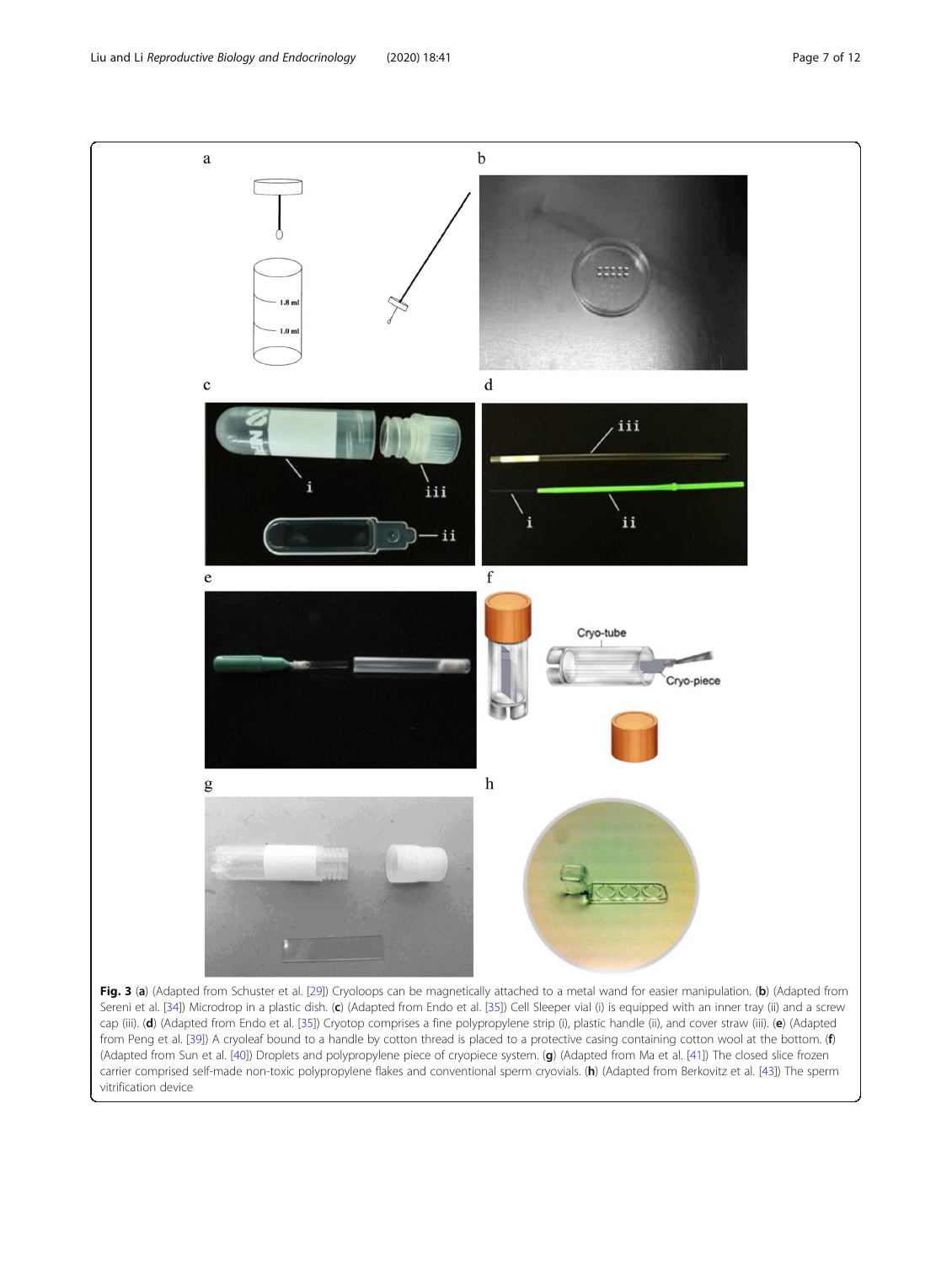<span id="page-6-0"></span>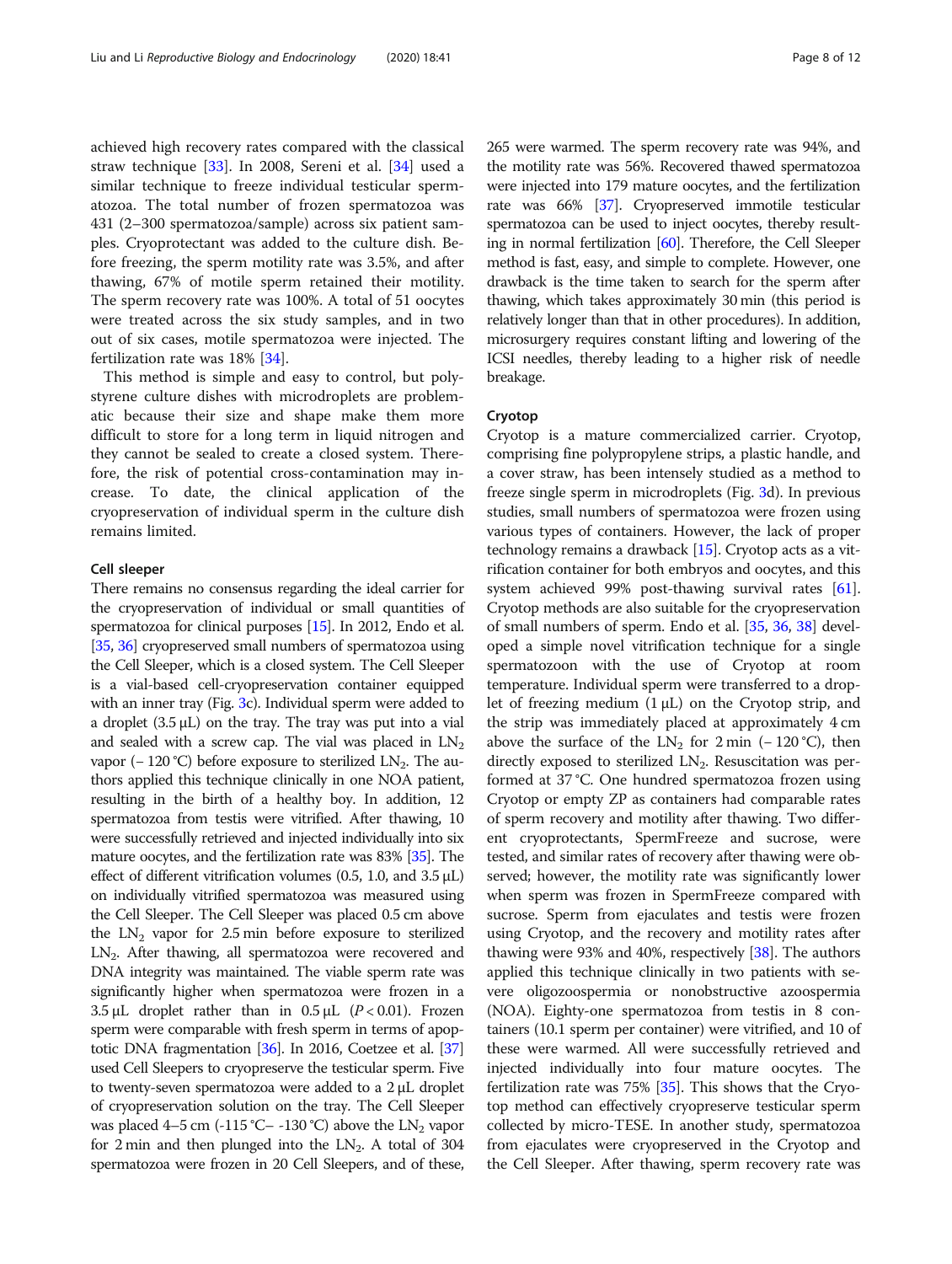achieved high recovery rates compared with the classical straw technique [\[33](#page-11-0)]. In 2008, Sereni et al. [\[34\]](#page-11-0) used a similar technique to freeze individual testicular spermatozoa. The total number of frozen spermatozoa was 431 (2–300 spermatozoa/sample) across six patient samples. Cryoprotectant was added to the culture dish. Before freezing, the sperm motility rate was 3.5%, and after thawing, 67% of motile sperm retained their motility. The sperm recovery rate was 100%. A total of 51 oocytes were treated across the six study samples, and in two out of six cases, motile spermatozoa were injected. The fertilization rate was 18% [[34\]](#page-11-0).

This method is simple and easy to control, but polystyrene culture dishes with microdroplets are problematic because their size and shape make them more difficult to store for a long term in liquid nitrogen and they cannot be sealed to create a closed system. Therefore, the risk of potential cross-contamination may increase. To date, the clinical application of the cryopreservation of individual sperm in the culture dish remains limited.

#### Cell sleeper

There remains no consensus regarding the ideal carrier for the cryopreservation of individual or small quantities of spermatozoa for clinical purposes [\[15\]](#page-10-0). In 2012, Endo et al. [[35](#page-11-0), [36](#page-11-0)] cryopreserved small numbers of spermatozoa using the Cell Sleeper, which is a closed system. The Cell Sleeper is a vial-based cell-cryopreservation container equipped with an inner tray (Fig. [3c](#page-6-0)). Individual sperm were added to a droplet  $(3.5 \mu L)$  on the tray. The tray was put into a vial and sealed with a screw cap. The vial was placed in  $LN<sub>2</sub>$ vapor (− 120 °C) before exposure to sterilized LN<sub>2</sub>. The authors applied this technique clinically in one NOA patient, resulting in the birth of a healthy boy. In addition, 12 spermatozoa from testis were vitrified. After thawing, 10 were successfully retrieved and injected individually into six mature oocytes, and the fertilization rate was 83% [\[35\]](#page-11-0). The effect of different vitrification volumes (0.5, 1.0, and 3.5 μL) on individually vitrified spermatozoa was measured using the Cell Sleeper. The Cell Sleeper was placed 0.5 cm above the  $LN_2$  vapor for 2.5 min before exposure to sterilized  $LN<sub>2</sub>$ . After thawing, all spermatozoa were recovered and DNA integrity was maintained. The viable sperm rate was significantly higher when spermatozoa were frozen in a 3.5 μL droplet rather than in  $0.5$  μL ( $P < 0.01$ ). Frozen sperm were comparable with fresh sperm in terms of apoptotic DNA fragmentation [[36](#page-11-0)]. In 2016, Coetzee et al. [\[37](#page-11-0)] used Cell Sleepers to cryopreserve the testicular sperm. Five to twenty-seven spermatozoa were added to a 2 μL droplet of cryopreservation solution on the tray. The Cell Sleeper was placed 4–5 cm (-115 °C– -130 °C) above the  $LN_2$  vapor for 2 min and then plunged into the  $LN_2$ . A total of 304 spermatozoa were frozen in 20 Cell Sleepers, and of these, 265 were warmed. The sperm recovery rate was 94%, and the motility rate was 56%. Recovered thawed spermatozoa were injected into 179 mature oocytes, and the fertilization rate was 66% [\[37](#page-11-0)]. Cryopreserved immotile testicular spermatozoa can be used to inject oocytes, thereby resulting in normal fertilization [[60](#page-11-0)]. Therefore, the Cell Sleeper method is fast, easy, and simple to complete. However, one drawback is the time taken to search for the sperm after thawing, which takes approximately 30 min (this period is relatively longer than that in other procedures). In addition, microsurgery requires constant lifting and lowering of the ICSI needles, thereby leading to a higher risk of needle breakage.

#### Cryotop

Cryotop is a mature commercialized carrier. Cryotop, comprising fine polypropylene strips, a plastic handle, and a cover straw, has been intensely studied as a method to freeze single sperm in microdroplets (Fig. [3d](#page-6-0)). In previous studies, small numbers of spermatozoa were frozen using various types of containers. However, the lack of proper technology remains a drawback [\[15](#page-10-0)]. Cryotop acts as a vitrification container for both embryos and oocytes, and this system achieved 99% post-thawing survival rates [[61](#page-11-0)]. Cryotop methods are also suitable for the cryopreservation of small numbers of sperm. Endo et al. [[35](#page-11-0), [36](#page-11-0), [38](#page-11-0)] developed a simple novel vitrification technique for a single spermatozoon with the use of Cryotop at room temperature. Individual sperm were transferred to a droplet of freezing medium  $(1 \mu L)$  on the Cryotop strip, and the strip was immediately placed at approximately 4 cm above the surface of the LN<sub>2</sub> for 2 min (− 120 °C), then directly exposed to sterilized  $LN_2$ . Resuscitation was performed at 37 °C. One hundred spermatozoa frozen using Cryotop or empty ZP as containers had comparable rates of sperm recovery and motility after thawing. Two different cryoprotectants, SpermFreeze and sucrose, were tested, and similar rates of recovery after thawing were observed; however, the motility rate was significantly lower when sperm was frozen in SpermFreeze compared with sucrose. Sperm from ejaculates and testis were frozen using Cryotop, and the recovery and motility rates after thawing were 93% and 40%, respectively [[38](#page-11-0)]. The authors applied this technique clinically in two patients with severe oligozoospermia or nonobstructive azoospermia (NOA). Eighty-one spermatozoa from testis in 8 containers (10.1 sperm per container) were vitrified, and 10 of these were warmed. All were successfully retrieved and injected individually into four mature oocytes. The fertilization rate was 75% [\[35\]](#page-11-0). This shows that the Cryotop method can effectively cryopreserve testicular sperm collected by micro-TESE. In another study, spermatozoa from ejaculates were cryopreserved in the Cryotop and the Cell Sleeper. After thawing, sperm recovery rate was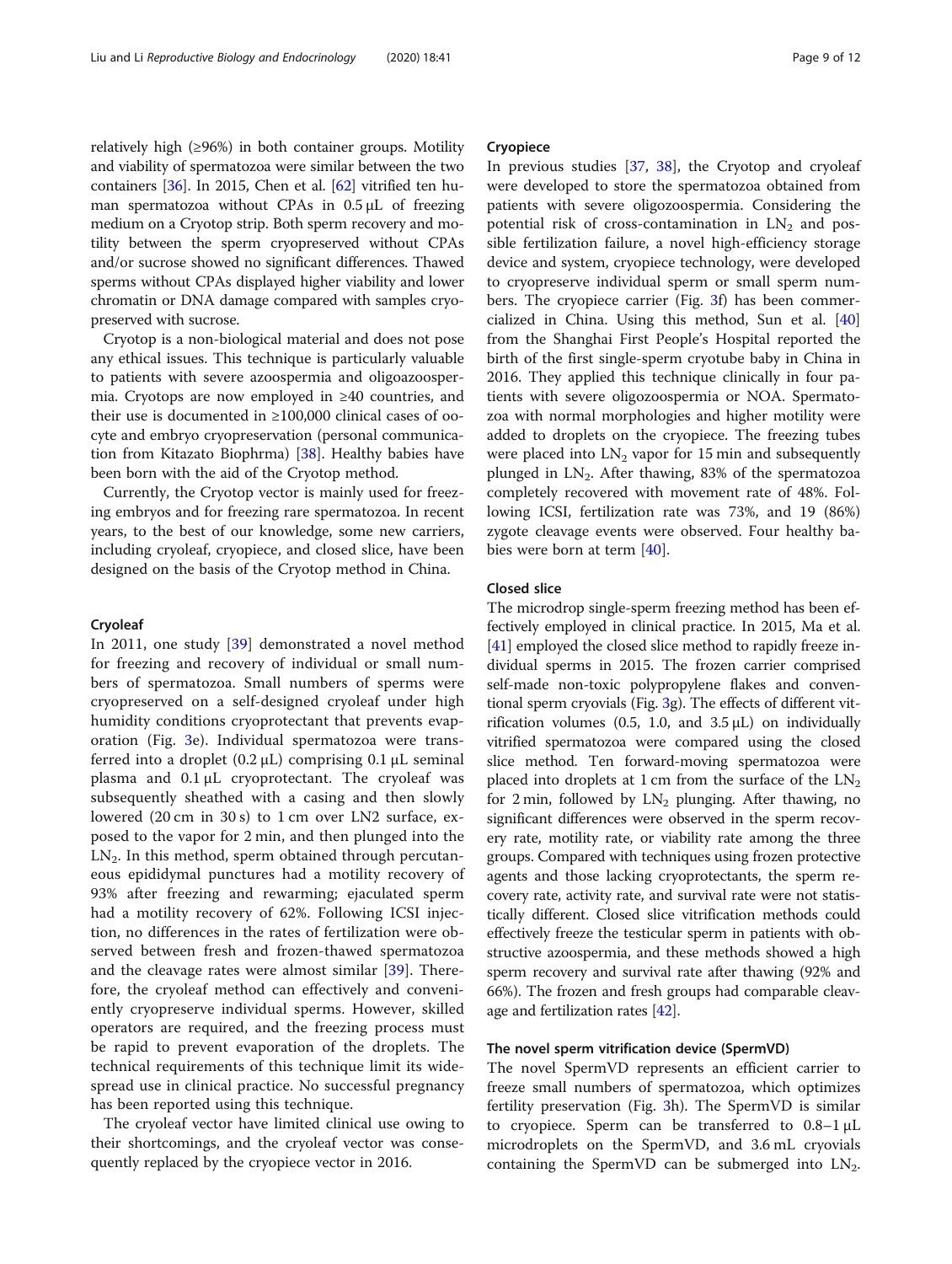relatively high  $(\geq 96\%)$  in both container groups. Motility and viability of spermatozoa were similar between the two containers [[36](#page-11-0)]. In 2015, Chen et al. [\[62\]](#page-11-0) vitrified ten human spermatozoa without CPAs in 0.5 μL of freezing medium on a Cryotop strip. Both sperm recovery and motility between the sperm cryopreserved without CPAs and/or sucrose showed no significant differences. Thawed sperms without CPAs displayed higher viability and lower chromatin or DNA damage compared with samples cryopreserved with sucrose.

Cryotop is a non-biological material and does not pose any ethical issues. This technique is particularly valuable to patients with severe azoospermia and oligoazoospermia. Cryotops are now employed in ≥40 countries, and their use is documented in ≥100,000 clinical cases of oocyte and embryo cryopreservation (personal communication from Kitazato Biophrma) [\[38](#page-11-0)]. Healthy babies have been born with the aid of the Cryotop method.

Currently, the Cryotop vector is mainly used for freezing embryos and for freezing rare spermatozoa. In recent years, to the best of our knowledge, some new carriers, including cryoleaf, cryopiece, and closed slice, have been designed on the basis of the Cryotop method in China.

### Cryoleaf

In 2011, one study [[39\]](#page-11-0) demonstrated a novel method for freezing and recovery of individual or small numbers of spermatozoa. Small numbers of sperms were cryopreserved on a self-designed cryoleaf under high humidity conditions cryoprotectant that prevents evaporation (Fig. [3e](#page-6-0)). Individual spermatozoa were transferred into a droplet  $(0.2 \mu L)$  comprising 0.1  $\mu L$  seminal plasma and 0.1 μL cryoprotectant. The cryoleaf was subsequently sheathed with a casing and then slowly lowered (20 cm in 30 s) to 1 cm over LN2 surface, exposed to the vapor for 2 min, and then plunged into the  $LN<sub>2</sub>$ . In this method, sperm obtained through percutaneous epididymal punctures had a motility recovery of 93% after freezing and rewarming; ejaculated sperm had a motility recovery of 62%. Following ICSI injection, no differences in the rates of fertilization were observed between fresh and frozen-thawed spermatozoa and the cleavage rates were almost similar [\[39](#page-11-0)]. Therefore, the cryoleaf method can effectively and conveniently cryopreserve individual sperms. However, skilled operators are required, and the freezing process must be rapid to prevent evaporation of the droplets. The technical requirements of this technique limit its widespread use in clinical practice. No successful pregnancy has been reported using this technique.

The cryoleaf vector have limited clinical use owing to their shortcomings, and the cryoleaf vector was consequently replaced by the cryopiece vector in 2016.

# Cryopiece

In previous studies [[37,](#page-11-0) [38\]](#page-11-0), the Cryotop and cryoleaf were developed to store the spermatozoa obtained from patients with severe oligozoospermia. Considering the potential risk of cross-contamination in  $LN<sub>2</sub>$  and possible fertilization failure, a novel high-efficiency storage device and system, cryopiece technology, were developed to cryopreserve individual sperm or small sperm numbers. The cryopiece carrier (Fig. [3](#page-6-0)f) has been commercialized in China. Using this method, Sun et al. [[40](#page-11-0)] from the Shanghai First People's Hospital reported the birth of the first single-sperm cryotube baby in China in 2016. They applied this technique clinically in four patients with severe oligozoospermia or NOA. Spermatozoa with normal morphologies and higher motility were added to droplets on the cryopiece. The freezing tubes were placed into  $LN_2$  vapor for 15 min and subsequently plunged in  $LN_2$ . After thawing, 83% of the spermatozoa completely recovered with movement rate of 48%. Following ICSI, fertilization rate was 73%, and 19 (86%) zygote cleavage events were observed. Four healthy ba-bies were born at term [\[40\]](#page-11-0).

#### Closed slice

The microdrop single-sperm freezing method has been effectively employed in clinical practice. In 2015, Ma et al. [[41](#page-11-0)] employed the closed slice method to rapidly freeze individual sperms in 2015. The frozen carrier comprised self-made non-toxic polypropylene flakes and conventional sperm cryovials (Fig. [3](#page-6-0)g). The effects of different vitrification volumes (0.5, 1.0, and  $3.5 \mu L$ ) on individually vitrified spermatozoa were compared using the closed slice method. Ten forward-moving spermatozoa were placed into droplets at 1 cm from the surface of the  $LN<sub>2</sub>$ for 2 min, followed by  $LN_2$  plunging. After thawing, no significant differences were observed in the sperm recovery rate, motility rate, or viability rate among the three groups. Compared with techniques using frozen protective agents and those lacking cryoprotectants, the sperm recovery rate, activity rate, and survival rate were not statistically different. Closed slice vitrification methods could effectively freeze the testicular sperm in patients with obstructive azoospermia, and these methods showed a high sperm recovery and survival rate after thawing (92% and 66%). The frozen and fresh groups had comparable cleavage and fertilization rates [\[42\]](#page-11-0).

#### The novel sperm vitrification device (SpermVD)

The novel SpermVD represents an efficient carrier to freeze small numbers of spermatozoa, which optimizes fertility preservation (Fig. [3h](#page-6-0)). The SpermVD is similar to cryopiece. Sperm can be transferred to 0.8–1 μL microdroplets on the SpermVD, and 3.6 mL cryovials containing the SpermVD can be submerged into  $LN_2$ .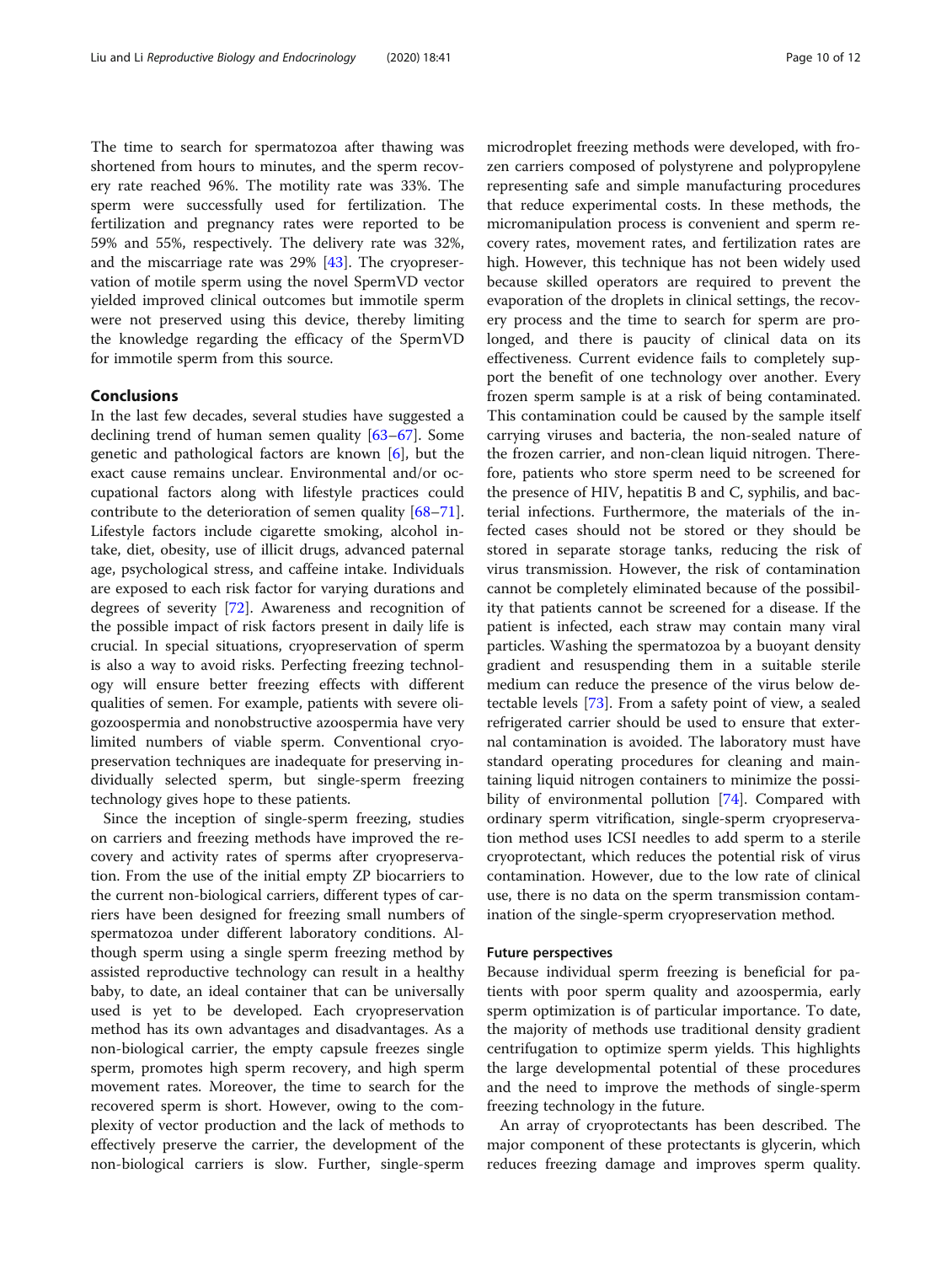The time to search for spermatozoa after thawing was shortened from hours to minutes, and the sperm recovery rate reached 96%. The motility rate was 33%. The sperm were successfully used for fertilization. The fertilization and pregnancy rates were reported to be 59% and 55%, respectively. The delivery rate was 32%, and the miscarriage rate was 29% [\[43\]](#page-11-0). The cryopreservation of motile sperm using the novel SpermVD vector yielded improved clinical outcomes but immotile sperm were not preserved using this device, thereby limiting the knowledge regarding the efficacy of the SpermVD for immotile sperm from this source.

#### Conclusions

In the last few decades, several studies have suggested a declining trend of human semen quality [[63](#page-11-0)–[67\]](#page-11-0). Some genetic and pathological factors are known [[6\]](#page-10-0), but the exact cause remains unclear. Environmental and/or occupational factors along with lifestyle practices could contribute to the deterioration of semen quality [[68](#page-11-0)–[71](#page-11-0)]. Lifestyle factors include cigarette smoking, alcohol intake, diet, obesity, use of illicit drugs, advanced paternal age, psychological stress, and caffeine intake. Individuals are exposed to each risk factor for varying durations and degrees of severity [\[72](#page-11-0)]. Awareness and recognition of the possible impact of risk factors present in daily life is crucial. In special situations, cryopreservation of sperm is also a way to avoid risks. Perfecting freezing technology will ensure better freezing effects with different qualities of semen. For example, patients with severe oligozoospermia and nonobstructive azoospermia have very limited numbers of viable sperm. Conventional cryopreservation techniques are inadequate for preserving individually selected sperm, but single-sperm freezing technology gives hope to these patients.

Since the inception of single-sperm freezing, studies on carriers and freezing methods have improved the recovery and activity rates of sperms after cryopreservation. From the use of the initial empty ZP biocarriers to the current non-biological carriers, different types of carriers have been designed for freezing small numbers of spermatozoa under different laboratory conditions. Although sperm using a single sperm freezing method by assisted reproductive technology can result in a healthy baby, to date, an ideal container that can be universally used is yet to be developed. Each cryopreservation method has its own advantages and disadvantages. As a non-biological carrier, the empty capsule freezes single sperm, promotes high sperm recovery, and high sperm movement rates. Moreover, the time to search for the recovered sperm is short. However, owing to the complexity of vector production and the lack of methods to effectively preserve the carrier, the development of the non-biological carriers is slow. Further, single-sperm

microdroplet freezing methods were developed, with frozen carriers composed of polystyrene and polypropylene representing safe and simple manufacturing procedures that reduce experimental costs. In these methods, the micromanipulation process is convenient and sperm recovery rates, movement rates, and fertilization rates are high. However, this technique has not been widely used because skilled operators are required to prevent the evaporation of the droplets in clinical settings, the recovery process and the time to search for sperm are prolonged, and there is paucity of clinical data on its effectiveness. Current evidence fails to completely support the benefit of one technology over another. Every frozen sperm sample is at a risk of being contaminated. This contamination could be caused by the sample itself carrying viruses and bacteria, the non-sealed nature of the frozen carrier, and non-clean liquid nitrogen. Therefore, patients who store sperm need to be screened for the presence of HIV, hepatitis B and C, syphilis, and bacterial infections. Furthermore, the materials of the infected cases should not be stored or they should be stored in separate storage tanks, reducing the risk of virus transmission. However, the risk of contamination cannot be completely eliminated because of the possibility that patients cannot be screened for a disease. If the patient is infected, each straw may contain many viral particles. Washing the spermatozoa by a buoyant density gradient and resuspending them in a suitable sterile medium can reduce the presence of the virus below detectable levels [\[73](#page-11-0)]. From a safety point of view, a sealed refrigerated carrier should be used to ensure that external contamination is avoided. The laboratory must have standard operating procedures for cleaning and maintaining liquid nitrogen containers to minimize the possi-bility of environmental pollution [[74](#page-11-0)]. Compared with ordinary sperm vitrification, single-sperm cryopreservation method uses ICSI needles to add sperm to a sterile cryoprotectant, which reduces the potential risk of virus contamination. However, due to the low rate of clinical use, there is no data on the sperm transmission contamination of the single-sperm cryopreservation method.

#### Future perspectives

Because individual sperm freezing is beneficial for patients with poor sperm quality and azoospermia, early sperm optimization is of particular importance. To date, the majority of methods use traditional density gradient centrifugation to optimize sperm yields. This highlights the large developmental potential of these procedures and the need to improve the methods of single-sperm freezing technology in the future.

An array of cryoprotectants has been described. The major component of these protectants is glycerin, which reduces freezing damage and improves sperm quality.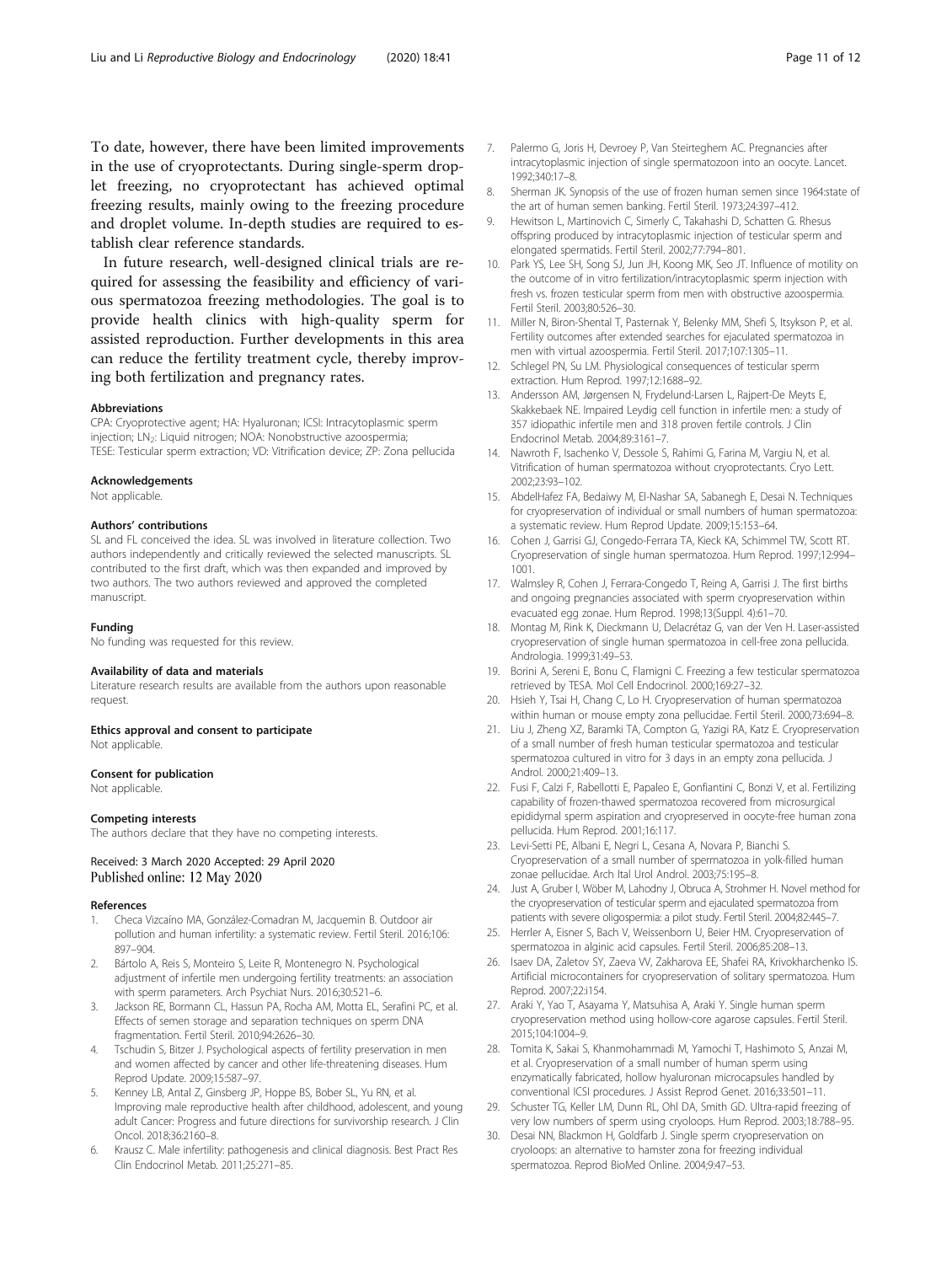<span id="page-10-0"></span>To date, however, there have been limited improvements in the use of cryoprotectants. During single-sperm droplet freezing, no cryoprotectant has achieved optimal freezing results, mainly owing to the freezing procedure and droplet volume. In-depth studies are required to establish clear reference standards.

In future research, well-designed clinical trials are required for assessing the feasibility and efficiency of various spermatozoa freezing methodologies. The goal is to provide health clinics with high-quality sperm for assisted reproduction. Further developments in this area can reduce the fertility treatment cycle, thereby improving both fertilization and pregnancy rates.

#### Abbreviations

CPA: Cryoprotective agent; HA: Hyaluronan; ICSI: Intracytoplasmic sperm injection; LN<sub>2</sub>: Liquid nitrogen; NOA: Nonobstructive azoospermia; TESE: Testicular sperm extraction; VD: Vitrification device; ZP: Zona pellucida

#### Acknowledgements

Not applicable.

#### Authors' contributions

SL and FL conceived the idea. SL was involved in literature collection. Two authors independently and critically reviewed the selected manuscripts. SL contributed to the first draft, which was then expanded and improved by two authors. The two authors reviewed and approved the completed manuscript.

#### Funding

No funding was requested for this review.

#### Availability of data and materials

Literature research results are available from the authors upon reasonable request.

#### Ethics approval and consent to participate

Not applicable.

#### Consent for publication

Not applicable.

#### Competing interests

The authors declare that they have no competing interests.

#### Received: 3 March 2020 Accepted: 29 April 2020 Published online: 12 May 2020

#### References

- 1. Checa Vizcaíno MA, González-Comadran M, Jacquemin B. Outdoor air pollution and human infertility: a systematic review. Fertil Steril. 2016;106: 897–904.
- 2. Bártolo A, Reis S, Monteiro S, Leite R, Montenegro N. Psychological adjustment of infertile men undergoing fertility treatments: an association with sperm parameters. Arch Psychiat Nurs. 2016;30:521–6.
- Jackson RE, Bormann CL, Hassun PA, Rocha AM, Motta EL, Serafini PC, et al. Effects of semen storage and separation techniques on sperm DNA fragmentation. Fertil Steril. 2010;94:2626–30.
- 4. Tschudin S, Bitzer J. Psychological aspects of fertility preservation in men and women affected by cancer and other life-threatening diseases. Hum Reprod Update. 2009;15:587–97.
- Kenney LB, Antal Z, Ginsberg JP, Hoppe BS, Bober SL, Yu RN, et al. Improving male reproductive health after childhood, adolescent, and young adult Cancer: Progress and future directions for survivorship research. J Clin Oncol. 2018;36:2160–8.
- Krausz C. Male infertility: pathogenesis and clinical diagnosis. Best Pract Res Clin Endocrinol Metab. 2011;25:271–85.
- 7. Palermo G, Joris H, Devroey P, Van Steirteghem AC. Pregnancies after intracytoplasmic injection of single spermatozoon into an oocyte. Lancet. 1992;340:17–8.
- 8. Sherman JK. Synopsis of the use of frozen human semen since 1964:state of the art of human semen banking. Fertil Steril. 1973;24:397–412.
- 9. Hewitson L, Martinovich C, Simerly C, Takahashi D, Schatten G. Rhesus offspring produced by intracytoplasmic injection of testicular sperm and elongated spermatids. Fertil Steril. 2002;77:794–801.
- 10. Park YS, Lee SH, Song SJ, Jun JH, Koong MK, Seo JT. Influence of motility on the outcome of in vitro fertilization/intracytoplasmic sperm injection with fresh vs. frozen testicular sperm from men with obstructive azoospermia. Fertil Steril. 2003;80:526–30.
- 11. Miller N, Biron-Shental T, Pasternak Y, Belenky MM, Shefi S, Itsykson P, et al. Fertility outcomes after extended searches for ejaculated spermatozoa in men with virtual azoospermia. Fertil Steril. 2017;107:1305–11.
- 12. Schlegel PN, Su LM. Physiological consequences of testicular sperm extraction. Hum Reprod. 1997;12:1688–92.
- 13. Andersson AM, Jørgensen N, Frydelund-Larsen L, Rajpert-De Meyts E, Skakkebaek NE. Impaired Leydig cell function in infertile men: a study of 357 idiopathic infertile men and 318 proven fertile controls. J Clin Endocrinol Metab. 2004;89:3161–7.
- 14. Nawroth F, Isachenko V, Dessole S, Rahimi G, Farina M, Vargiu N, et al. Vitrification of human spermatozoa without cryoprotectants. Cryo Lett. 2002;23:93–102.
- 15. AbdelHafez FA, Bedaiwy M, El-Nashar SA, Sabanegh E, Desai N. Techniques for cryopreservation of individual or small numbers of human spermatozoa: a systematic review. Hum Reprod Update. 2009;15:153–64.
- 16. Cohen J, Garrisi GJ, Congedo-Ferrara TA, Kieck KA, Schimmel TW, Scott RT. Cryopreservation of single human spermatozoa. Hum Reprod. 1997;12:994– 1001.
- 17. Walmsley R, Cohen J, Ferrara-Congedo T, Reing A, Garrisi J. The first births and ongoing pregnancies associated with sperm cryopreservation within evacuated egg zonae. Hum Reprod. 1998;13(Suppl. 4):61–70.
- 18. Montag M, Rink K, Dieckmann U, Delacrétaz G, van der Ven H. Laser-assisted cryopreservation of single human spermatozoa in cell-free zona pellucida. Andrologia. 1999;31:49–53.
- 19. Borini A, Sereni E, Bonu C, Flamigni C. Freezing a few testicular spermatozoa retrieved by TESA. Mol Cell Endocrinol. 2000;169:27–32.
- 20. Hsieh Y, Tsai H, Chang C, Lo H. Cryopreservation of human spermatozoa within human or mouse empty zona pellucidae. Fertil Steril. 2000;73:694–8.
- 21. Liu J, Zheng XZ, Baramki TA, Compton G, Yazigi RA, Katz E. Cryopreservation of a small number of fresh human testicular spermatozoa and testicular spermatozoa cultured in vitro for 3 days in an empty zona pellucida. J Androl. 2000;21:409–13.
- 22. Fusi F, Calzi F, Rabellotti E, Papaleo E, Gonfiantini C, Bonzi V, et al. Fertilizing capability of frozen-thawed spermatozoa recovered from microsurgical epididymal sperm aspiration and cryopreserved in oocyte-free human zona pellucida. Hum Reprod. 2001;16:117.
- 23. Levi-Setti PE, Albani E, Negri L, Cesana A, Novara P, Bianchi S. Cryopreservation of a small number of spermatozoa in yolk-filled human zonae pellucidae. Arch Ital Urol Androl. 2003;75:195–8.
- 24. Just A, Gruber I, Wöber M, Lahodny J, Obruca A, Strohmer H. Novel method for the cryopreservation of testicular sperm and ejaculated spermatozoa from patients with severe oligospermia: a pilot study. Fertil Steril. 2004;82:445–7.
- 25. Herrler A, Eisner S, Bach V, Weissenborn U, Beier HM. Cryopreservation of spermatozoa in alginic acid capsules. Fertil Steril. 2006;85:208–13.
- 26. Isaev DA, Zaletov SY, Zaeva VV, Zakharova EE, Shafei RA, Krivokharchenko IS. Artificial microcontainers for cryopreservation of solitary spermatozoa. Hum Reprod. 2007;22:i154.
- 27. Araki Y, Yao T, Asayama Y, Matsuhisa A, Araki Y. Single human sperm cryopreservation method using hollow-core agarose capsules. Fertil Steril. 2015;104:1004–9.
- 28. Tomita K, Sakai S, Khanmohammadi M, Yamochi T, Hashimoto S, Anzai M, et al. Cryopreservation of a small number of human sperm using enzymatically fabricated, hollow hyaluronan microcapsules handled by conventional ICSI procedures. J Assist Reprod Genet. 2016;33:501–11.
- 29. Schuster TG, Keller LM, Dunn RL, Ohl DA, Smith GD. Ultra-rapid freezing of very low numbers of sperm using cryoloops. Hum Reprod. 2003;18:788–95.
- 30. Desai NN, Blackmon H, Goldfarb J. Single sperm cryopreservation on cryoloops: an alternative to hamster zona for freezing individual spermatozoa. Reprod BioMed Online. 2004;9:47–53.